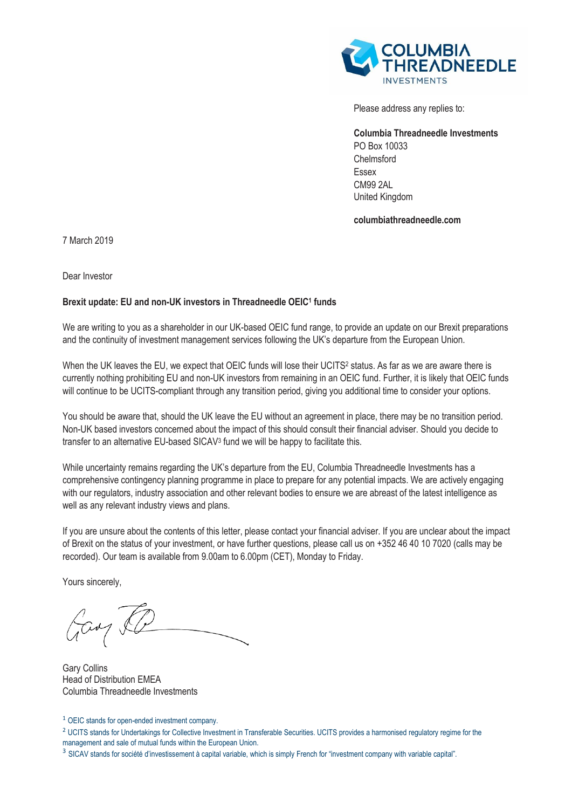

Please address any replies to:

**Columbia Threadneedle Investments**  PO Box 10033 Chelmsford Essex CM99 2AL United Kingdom

**columbiathreadneedle.com**

7 March 2019

Dear Investor

## **Brexit update: EU and non-UK investors in Threadneedle OEIC<sup>1</sup> funds**

We are writing to you as a shareholder in our UK-based OEIC fund range, to provide an update on our Brexit preparations and the continuity of investment management services following the UK's departure from the European Union.

When the UK leaves the EU, we expect that OEIC funds will lose their UCITS<sup>2</sup> status. As far as we are aware there is currently nothing prohibiting EU and non-UK investors from remaining in an OEIC fund. Further, it is likely that OEIC funds will continue to be UCITS-compliant through any transition period, giving you additional time to consider your options.

You should be aware that, should the UK leave the EU without an agreement in place, there may be no transition period. Non-UK based investors concerned about the impact of this should consult their financial adviser. Should you decide to transfer to an alternative EU-based SICAV<sup>3</sup> fund we will be happy to facilitate this.

While uncertainty remains regarding the UK's departure from the EU, Columbia Threadneedle Investments has a comprehensive contingency planning programme in place to prepare for any potential impacts. We are actively engaging with our regulators, industry association and other relevant bodies to ensure we are abreast of the latest intelligence as well as any relevant industry views and plans.

If you are unsure about the contents of this letter, please contact your financial adviser. If you are unclear about the impact of Brexit on the status of your investment, or have further questions, please call us on +352 46 40 10 7020 (calls may be recorded). Our team is available from 9.00am to 6.00pm (CET), Monday to Friday.

Yours sincerely,

Gay le

Gary Collins Head of Distribution EMEA Columbia Threadneedle Investments

<sup>1</sup> OEIC stands for open-ended investment company.

<sup>2</sup> UCITS stands for Undertakings for Collective Investment in Transferable Securities. UCITS provides a harmonised regulatory regime for the management and sale of mutual funds within the European Union.

<sup>&</sup>lt;sup>3</sup> SICAV stands for société d'investissement à capital variable, which is simply French for "investment company with variable capital".